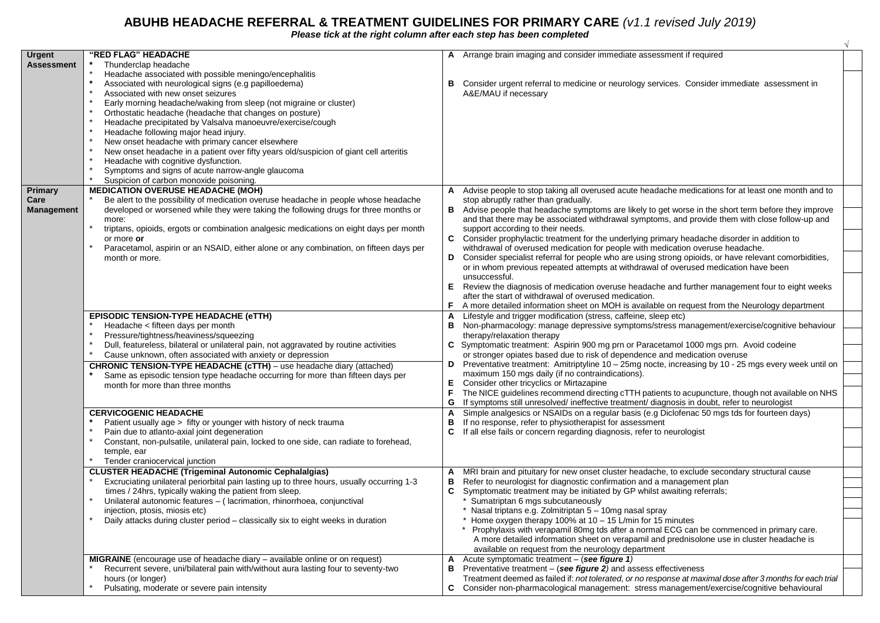## **ABUHB HEADACHE REFERRAL & TREATMENT GUIDELINES FOR PRIMARY CARE** *(v1.1 revised July 2019)*

*Please tick at the right column after each step has been completed*

| <b>Urgent</b><br><b>Assessment</b> | "RED FLAG" HEADACHE<br>Thunderclap headache<br>$\star$                                                                                                                                                                                                                                                                                                                                                                                                                                                                                                                                                                                                                              | A Arrange brain imaging and consider immediate assessment if required                                                                                                                                                                                                                                        |  |
|------------------------------------|-------------------------------------------------------------------------------------------------------------------------------------------------------------------------------------------------------------------------------------------------------------------------------------------------------------------------------------------------------------------------------------------------------------------------------------------------------------------------------------------------------------------------------------------------------------------------------------------------------------------------------------------------------------------------------------|--------------------------------------------------------------------------------------------------------------------------------------------------------------------------------------------------------------------------------------------------------------------------------------------------------------|--|
|                                    | Headache associated with possible meningo/encephalitis<br>Associated with neurological signs (e.g papilloedema)<br>Associated with new onset seizures<br>Early morning headache/waking from sleep (not migraine or cluster)<br>Orthostatic headache (headache that changes on posture)<br>Headache precipitated by Valsalva manoeuvre/exercise/cough<br>Headache following major head injury.<br>New onset headache with primary cancer elsewhere<br>New onset headache in a patient over fifty years old/suspicion of giant cell arteritis<br>Headache with cognitive dysfunction.<br>Symptoms and signs of acute narrow-angle glaucoma<br>Suspicion of carbon monoxide poisoning. | Consider urgent referral to medicine or neurology services. Consider immediate assessment in<br>В<br>A&E/MAU if necessary                                                                                                                                                                                    |  |
| Primary                            | <b>MEDICATION OVERUSE HEADACHE (MOH)</b>                                                                                                                                                                                                                                                                                                                                                                                                                                                                                                                                                                                                                                            | Advise people to stop taking all overused acute headache medications for at least one month and to                                                                                                                                                                                                           |  |
| Care<br>Management                 | Be alert to the possibility of medication overuse headache in people whose headache<br>developed or worsened while they were taking the following drugs for three months or<br>more:<br>triptans, opioids, ergots or combination analgesic medications on eight days per month                                                                                                                                                                                                                                                                                                                                                                                                      | stop abruptly rather than gradually.<br>B Advise people that headache symptoms are likely to get worse in the short term before they improve<br>and that there may be associated withdrawal symptoms, and provide them with close follow-up and<br>support according to their needs.                         |  |
|                                    | or more or<br>Paracetamol, aspirin or an NSAID, either alone or any combination, on fifteen days per                                                                                                                                                                                                                                                                                                                                                                                                                                                                                                                                                                                | C Consider prophylactic treatment for the underlying primary headache disorder in addition to<br>withdrawal of overused medication for people with medication overuse headache.                                                                                                                              |  |
|                                    | month or more.                                                                                                                                                                                                                                                                                                                                                                                                                                                                                                                                                                                                                                                                      | Consider specialist referral for people who are using strong opioids, or have relevant comorbidities,<br>D<br>or in whom previous repeated attempts at withdrawal of overused medication have been                                                                                                           |  |
|                                    |                                                                                                                                                                                                                                                                                                                                                                                                                                                                                                                                                                                                                                                                                     | unsuccessful.<br>E Review the diagnosis of medication overuse headache and further management four to eight weeks<br>after the start of withdrawal of overused medication.<br>F<br>A more detailed information sheet on MOH is available on request from the Neurology department                            |  |
|                                    | <b>EPISODIC TENSION-TYPE HEADACHE (eTTH)</b><br>Headache < fifteen days per month<br>Pressure/tightness/heaviness/squeezing<br>Dull, featureless, bilateral or unilateral pain, not aggravated by routine activities                                                                                                                                                                                                                                                                                                                                                                                                                                                                | Lifestyle and trigger modification (stress, caffeine, sleep etc)<br>Non-pharmacology: manage depressive symptoms/stress management/exercise/cognitive behaviour<br>в<br>therapy/relaxation therapy<br>C Symptomatic treatment: Aspirin 900 mg prn or Paracetamol 1000 mgs prn. Avoid codeine                 |  |
|                                    | Cause unknown, often associated with anxiety or depression<br><b>CHRONIC TENSION-TYPE HEADACHE (cTTH)</b> - use headache diary (attached)<br>Same as episodic tension type headache occurring for more than fifteen days per                                                                                                                                                                                                                                                                                                                                                                                                                                                        | or stronger opiates based due to risk of dependence and medication overuse<br>Preventative treatment: Amitriptyline 10 - 25mg nocte, increasing by 10 - 25 mgs every week until on<br>D<br>maximum 150 mgs daily (if no contraindications).                                                                  |  |
|                                    | month for more than three months                                                                                                                                                                                                                                                                                                                                                                                                                                                                                                                                                                                                                                                    | Consider other tricyclics or Mirtazapine<br>Е<br>The NICE guidelines recommend directing cTTH patients to acupuncture, though not available on NHS<br>F<br>If symptoms still unresolved/ ineffective treatment/ diagnosis in doubt, refer to neurologist<br>G                                                |  |
|                                    | <b>CERVICOGENIC HEADACHE</b><br>Patient usually age > fifty or younger with history of neck trauma                                                                                                                                                                                                                                                                                                                                                                                                                                                                                                                                                                                  | Simple analgesics or NSAIDs on a regular basis (e.g Diclofenac 50 mgs tds for fourteen days)<br>A<br>If no response, refer to physiotherapist for assessment<br>в                                                                                                                                            |  |
|                                    | Pain due to atlanto-axial joint degeneration<br>Constant, non-pulsatile, unilateral pain, locked to one side, can radiate to forehead,<br>temple, ear                                                                                                                                                                                                                                                                                                                                                                                                                                                                                                                               | C.<br>If all else fails or concern regarding diagnosis, refer to neurologist                                                                                                                                                                                                                                 |  |
|                                    | Tender craniocervical junction                                                                                                                                                                                                                                                                                                                                                                                                                                                                                                                                                                                                                                                      |                                                                                                                                                                                                                                                                                                              |  |
|                                    | <b>CLUSTER HEADACHE (Trigeminal Autonomic Cephalalgias)</b><br>Excruciating unilateral periorbital pain lasting up to three hours, usually occurring 1-3<br>times / 24hrs, typically waking the patient from sleep.                                                                                                                                                                                                                                                                                                                                                                                                                                                                 | MRI brain and pituitary for new onset cluster headache, to exclude secondary structural cause<br>Refer to neurologist for diagnostic confirmation and a management plan<br>В<br>Symptomatic treatment may be initiated by GP whilst awaiting referrals;<br>C                                                 |  |
|                                    | Unilateral autonomic features - (lacrimation, rhinorrhoea, conjunctival<br>injection, ptosis, miosis etc)                                                                                                                                                                                                                                                                                                                                                                                                                                                                                                                                                                           | * Sumatriptan 6 mgs subcutaneously<br>* Nasal triptans e.g. Zolmitriptan 5 - 10mg nasal spray                                                                                                                                                                                                                |  |
|                                    | Daily attacks during cluster period - classically six to eight weeks in duration                                                                                                                                                                                                                                                                                                                                                                                                                                                                                                                                                                                                    | * Home oxygen therapy 100% at 10 $-$ 15 L/min for 15 minutes<br>Prophylaxis with verapamil 80mg tds after a normal ECG can be commenced in primary care.<br>A more detailed information sheet on verapamil and prednisolone use in cluster headache is<br>available on request from the neurology department |  |
|                                    | MIGRAINE (encourage use of headache diary - available online or on request)<br>Recurrent severe, uni/bilateral pain with/without aura lasting four to seventy-two                                                                                                                                                                                                                                                                                                                                                                                                                                                                                                                   | Acute symptomatic treatment – (see figure 1)<br>A<br>в<br>Preventative treatment $-$ (see figure 2) and assess effectiveness                                                                                                                                                                                 |  |
|                                    | hours (or longer)<br>Pulsating, moderate or severe pain intensity                                                                                                                                                                                                                                                                                                                                                                                                                                                                                                                                                                                                                   | Treatment deemed as failed if: not tolerated, or no response at maximal dose after 3 months for each trial<br>Consider non-pharmacological management: stress management/exercise/cognitive behavioural<br>C.                                                                                                |  |